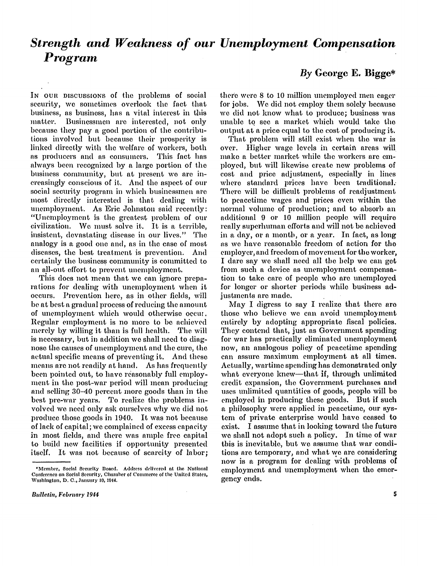# *Strength and Weakness of our Unemployment Compensation Program*

In our piscussions of the problems of social security, we sometimes overlook the fact that business, as business, has a vital interest in this matter. Businessmen are interested, not only because they pay a good portion of the contributions involved but because their prosperity is linked directly with the welfare of workers, both as producers and as consumers. This fact has always been recognized by a large portion of the business community, but at present we are increasingly conscious of it. And the aspect of our social security program in which businessmen are most directly interested is that dealing with unemployment. As Eric Johnston said recently: "Unemployment is the greatest problem of our civilization. We must solve it. It is a terrible, insistent, devastating disease in our lives." The analogy is a good one and, as in the case of most diseases, the best treatment is prevention. And certainly the business community is committed to an all-out effort to prevent unemployment.

This does not mean that we can ignore preparations for dealing with unemployment when it occurs. Prevention here, as in other fields, will be at best a gradual process of reducing the amount of unemployment which would otherwise occur. Regular employment is no more to be achieved merely by willing it than is full health. The will is necessary, but in addition we shall need to diagnose the causes of unemployment and the cure, the actual specific means of preventing it. And these means are not readily at hand. As has frequently been pointed out, to have reasonably full employment in the post-war period will mean producing and selling 30-40 percent more goods than in the best pre-war years. To realize the problems in volved we need only ask ourselves why wo did not produce those goods in 1940. It was not because of lack of capital; we complained of excess capacity in most fields, and there was ample free capital to build new facilities if opportunity presented itself. It was not because of scarcity of labor;

# *By* **George E . Bigge\***

there were 8 to 10 million unemployed men eager for jobs. We did not employ them solely because we did not know what to produce; business was unable to see a market which would take the output at a price equal to the cost of producing it.

That problem will still exist when the war is over. Higher wage levels in certain areas will make a better market while the workers are employed, but will likewise create new problems of cost and price adjustment, especially in lines where standard prices have been traditional. There will be difficult problems of readjustment to peacetime wages and prices even within the normal volume of production; and to absorb an additional 9 or 10 million people will require really superhuman efforts and will not be achieved in a day, or a month, or a year. In fact, as long as we have reasonable freedom of action for the employer, and freedom of movement for the worker, I dare say we shall need all the help we can get from such a device as unemployment compensation to take care of people who are unemployed for longer or shorter periods while business adjustments are made.

May I digress to say I realize that there are those who believe we can avoid unemployment entirely by adopting appropriate fiscal policies. They contend that, just as Government spending for war has practically eliminated unemployment now, an analogous policy of peacetime spending can assure maximum employment at all times. Actually, wartime spending has demonstrated only what everyone knew—that if, through unlimited credit expansion, the Government purchases and uses unlimited quantities of goods, people will be employed in producing these goods. But if such a philosophy were applied in peacetime, our system of private enterprise would have ceased to exist. I assume that in looking toward the future we shall not adopt such a policy. In time of war this is inevitable, but we assume that war conditions are temporary, and what we are considering now is a program for dealing with problems of employment and unemployment when the emergency ends.

<sup>\*</sup>Member, Social Security Board. Address delivered at the National Conference on Social Security, Chamber of Commerce of the United States, Washington, D. C., January 10, 1944.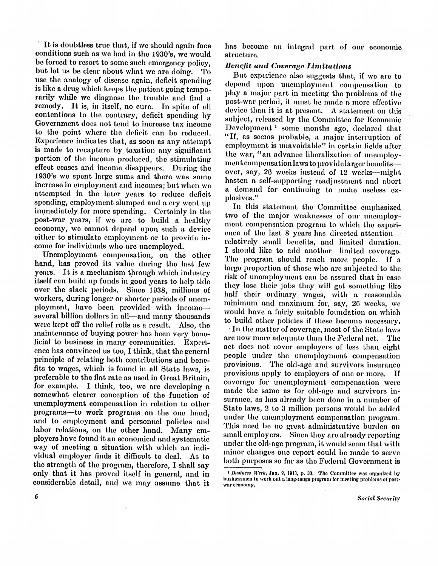It is doubtless true that, if we should again face conditions such as we had in the 1930's, we would be forced to resort to some such emergency policy, but let us be clear about what we are doing. To use the analogy of disease again, deficit spending is like a drug which keeps the patient going temporarily while we diagnose the trouble and find a remedy. It is, in itself, no cure. In spite of all contentions to the contrary, deficit spending by Government does not tend to increase tax income to the point where the deficit can be reduced. Experience indicates that, as soon as any attempt is made to recapture by taxation any significant portion of the income produced, the stimulating effect ceases and income disappears. During the 1930's we spent large sums and there was some increase in employment and incomes; but when we attempted in the later years to reduce deficit spending, employment slumped and a cry went up immediately for more spending. Certainly in the post-war years, if we are to build a healthy economy, we cannot depend upon such a device either to stimulate employment or to provide income for individuals who are unemployed.

Unemployment compensation, on the other hand, has proved its value during the last few years. It is a mechanism through which industry itself can build up funds in good years to help tide over the slack periods. Since 1938, millions of workers, during longer or shorter periods of unemployment, have been provided with income several billion dollars in all—and many thousands were kept off the relief rolls as a result. Also, the maintenance of buying power has been very beneficial to business in many communities. Experience has convinced us too, I think, that the general principle of relating both contributions and benefits to wages, which is found in all State laws, is preferable to the flat rate as used in Great Britain, for example. I think, too, we are developing a somewhat clearer conception of the function of unemployment compensation in relation to other programs—to work programs on the one hand, and to employment and personnel policies and labor relations, on the other hand. Many employers have found it an economical and systematic way of meeting a situation with which an individual employer finds it difficult to deal. As to the strength of the program, therefore, I shall say only that it has proved itself in general, and in considerable detail, and we may assume that it

has become an integral part of our economic structure.

### *Benefit and Coverage Limitations*

But experience also suggests that, if we are to depend upon unemployment compensation to play a major part in meeting the problems of the post-war period, it must be made a more effective device than it is at present. A statement on this subject, released by the Committee for Economic Development 1 some months ago, declared that "If, as seems probable, a major interruption of employment is unavoidable" in certain fields after the war, "an advance liberalization of unemployment compensation laws to provide larger benefits over, say, 26 weeks instead of 12 weeks—might hasten a self-supporting readjustment and abort a demand for continuing to make useless explosives."

In this statement the Committee emphasized two of the major weaknesses of our unemployment compensation program to which the experience of the last 8 years has directed attention relatively small benefits, and limited duration. I should like to add another—limited coverage. The program should reach more people. If a largo proportion of those who are subjected to the risk of unemployment can be assured that in case they lose their jobs they will get something like half their ordinary wages, with a reasonable minimum and maximum for, say, 26 weeks, we would have a fairly suitable foundation on which to build other policies if these become necessary.

In the matter of coverage, most of the State laws are now more adequate than the Federal act. The act does not cover employers of less than eight people under the unemployment compensation provisions. The old-age and survivors insurance provisions apply to employers of one or more. If coverage for unemployment compensation were made the same as for old-age and survivors insurance, as has already been done in a number of State laws, 2 to 3 million persons would be added under the unemployment compensation program. This need be no great administrative burden on small employers. Since they are already reporting under the old-age program, it would seem that with minor changes one report could be made to serve both purposes so far as the Federal Government is

*<sup>1</sup> Business Week, Jan. 2, 1943, p. 33. The Committee was organized by* businessmen to work out a long-range program for meeting problems of postwar economy.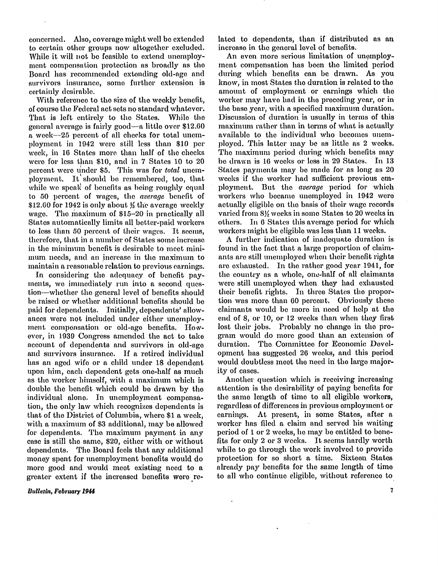concerned. Also, coverage might well be extended to certain other groups now altogether excluded. While it will not be feasible to extend unemployment compensation protection as broadly as the Board has recommended extending old-age and survivors insurance, some further extension is certainly desirable.

With reference to the size of the weekly benefit, of course the Federal act sets no standard whatever. That is left entirely to the States. While the general average is fairly good—a little over \$12.60 a week—25 percent of all checks for total unemployment in 1942 were still less than \$10 per week, in 16 States more, than half of the checks were for less than \$10, and in 7 States 10 to 20 percent were under \$5. This was for *total* unemployment. It should be remembered, too, that while we speak of benefits as being roughly equal to 50 percent of wages, the *average* benefit of  $$12.60$  for 1942 is only about  $\frac{1}{3}$  the average weekly wage. The maximum of \$15-20 in practically all States automatically limits all better-paid workers to less than 50 percent of their wages. It seems, therefore, that in a number of States some increase in the minimum benefit is desirable to meet minimum needs, and an increase in the maximum to maintain a reasonable relation to previous earnings.

In considering the adequacy of benefit payments, we immediately run into a second question—whether the general level of benefits should be raised or whether additional benefits should be paid for dependents. Initially, dependents' allowances were not included under either unemployment compensation or old-age benefits. However, in 1939 Congress amended the act to take account of dependents and survivors in old-age and survivors insurance. If a retired individual has an aged wife or a child under 18 dependent upon him, each dependent gets one-half as much as the worker himself, with a maximum which is double the benefit which could be drawn by the individual alone. In unemployment compensation, the only law which recognizes dependents is that of the District of Columbia, where \$1 a week, with a maximum of \$3 additional, may be allowed for dependents. The maximum payment in any case is still the same, \$20, either with or without dependents. The Board feels that any additional money spent for unemployment benefits would do more good and would meet existing need to a greater extent if the increased benefits were re-

#### **Bulletin, February 1944**

lated to dependents, than if distributed as an increase in the general level of benefits.

An even more serious limitation of unemployment compensation has been the limited period during which benefits can be drawn. As you know, in most States the duration is related to the amount of employment or earnings which the worker may have had in the preceding year, or in the base year, with a specified maximum duration. Discussion of duration is usually in terms of this maximum rather than in terms of what is actually available to the individual who becomes unemployed. This latter may be as little as 2 weeks. The maximum period during which benefits may be drawn is 16 weeks or less in 29 States. In 13 States payments may be made for as long as 20 weeks if the worker had sufficient previous employment. But the *average* period for which workers who became unemployed in 1942 were actually eligible on the basis of their wage records varied from 8½ weeks in some States to 20 weeks in others. In 6 States this average period for which workers might be eligible was less than 11 weeks.

A further indication of inadequate duration is found in the fact that a large proportion of claimants are still unemployed when their benefit rights are exhausted. In the rather good year 1941, for the country as a whole, one-half of all claimants were still unemployed when they had exhausted their benefit rights. In three States the proportion was more than 60 percent. Obviously these claimants would be more in need of help at the end of 8, or 10, or 12 weeks than when they first lost their jobs. Probably no change in the program would do more good than an extension of duration. The Committee for Economic Development has suggested 26 weeks, and this period would doubtless meet the need in the large majority of cases.

Another question which is receiving increasing attention is the desirability of paying benefits for the same length of time to all eligible workers, regardless of differences in previous employment or earnings. At present, in some States, after a worker has filed a claim and served his waiting period of 1 or 2 weeks, he may be entitled to benefits for only 2 or 3 weeks. It seems hardly worth while to go through the work involved to provide protection for so short a time. Sixteen States already pay benefits for the same length of time to all who continue eligible, without reference to

 $\overline{\mathbf{7}}$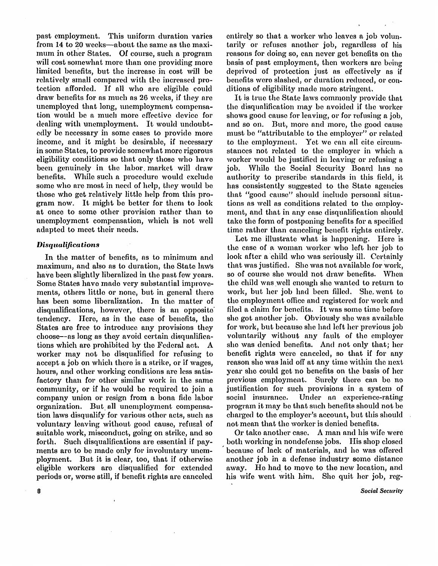past employment. This uniform duration varies from 14 to 20 weeks—about the same as the maximum in other States. Of course, such a program will cost somewhat more than one providing more limited benefits, but the increase in cost will be relatively small compared with the increased protection afforded. If all who are eligible could draw benefits for as much as 26 weeks, if they are unemployed that long, unemployment compensation would be a much more effective device for dealing with unemployment. It would undoubtedly be necessary in some cases to provide more income, and it might be desirable, if necessary in some States, to provide somewhat more rigorous eligibility conditions so that only those who have been genuinely in the labor market will draw benefits. While such a procedure would exclude some who are most in need of help, they would be those who get relatively little help from this program now. It might be better for them to look at once to some other provision rather than to unemployment compensation, which is not well adapted to meet their needs.

#### *Disqualifications*

In the matter of benefits, as to minimum and maximum, and also as to duration, the State laws have been slightly liberalized in the past few years. Some States have made very substantial improvements, others little or none, but in general there has been some liberalization. In the matter of disqualifications, however, there is an opposite tendency. Here, as in the case of benefits, the States are free to introduce any provisions they choose—as long as they avoid certain disqualifications which are prohibited by the Federal act. A worker may not be disqualified for refusing to accept a job on which there is a strike, or if wages, hours, and other working conditions are less satisfactory than for other similar work in the same community, or if he would bo required to join a company union or resign from a bona fide labor organization. But all unemployment compensation laws disqualify for various other acts, such as voluntary leaving without good cause, refusal of suitable work, misconduct, going on strike, and so forth. Such disqualifications are essential if payments are to be made only for involuntary unemployment. But it is clear, too, that if otherwise eligible workers are disqualified for extended periods or, worse still, if benefit rights are canceled

entirely so that a worker who leaves a job voluntarily or refuses another job, regardless of his reasons for doing so, can never get benefits on the basis of past employment, then workers are being deprived of protection just as effectively as if benefits were slashed, or duration reduced, or conditions of eligibility made more stringent.

It is true the State laws commonly provide that the disqualification may be avoided if the worker shows good cause for leaving, or for refusing a job, and so on. But, more and more, the good cause must be "attributable to the employer" or related to the employment. Yet we can all cite circumstances not related to the employer in which a worker would be justified in leaving or refusing a job. While the Social Security Board has no authority to prescribe standards in this field, it has consistently suggested to the State agencies that "good cause" should include personal situations as well as conditions related to the employment, and that in any case disqualification should take the form of postponing benefits for a specified time rather than canceling benefit rights entirely.

Let me illustrate what is happening. Here is the case of a woman worker who left her job to look after a child who was seriously ill. Certainly that was justified. She was not available for work, so of course she would not draw benefits. When the child was well enough she wanted to return to work, but her job had been filled. She went to the employment office and registered for work and filed a claim for benefits. It was some time before she got another job. Obviously she was available for work, but because she had left her previous job voluntarily without any fault of the employer she was denied benefits. And not only that; her benefit rights were canceled, so that if for any reason she was laid off at any time within the next year she could get no benefits on the basis of her previous employment. Surely there can be no justification for such provisions in a system of social insurance. Under an experience-rating program it may be that such benefits should not be charged to the employer's account, but this should not mean that the worker is denied benefits.

Or take another case. A man and his wife were both working in nondefense jobs. His shop closed because of lack of materials, and he was offered another job in a defense industry some distance away. He had to move to the new location, and his wife went with him. She quit her job, reg-

**Social Security** 

8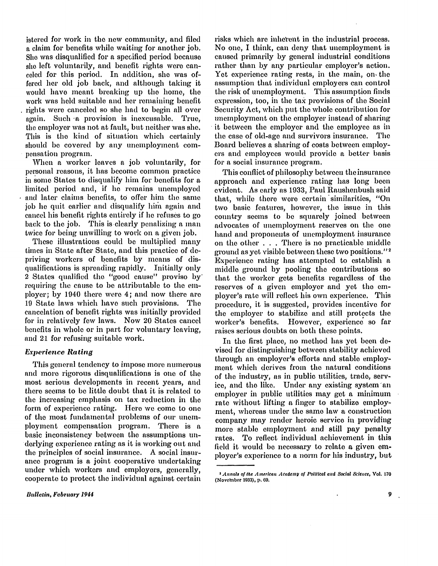**istered for work in the new community, and filed a claim for benefits while waiting for another job. She was disqualified for a specified period because she left voluntarily, and benefit rights were can**celed for this period. In addition, she was of**fered her old job back, and although taking it would have meant breaking up the home, the work was held suitable and her remaining benefit rights were canceled so she had to begin all over again. Such a provision is inexcusable. True, the employer was not at fault, but neither was she. This is the kind of situation which certainly should be covered by any unemployment compensation program.** 

**When a worker leaves a job voluntarily, for personal reasons, it has become common practice in some States to disqualify him for benefits for a limited period and, if he remains unemployed and later claims benefits, to offer him the same job he quit earlier and disqualify him again and cancel his benefit rights entirely if he refuses to go**  back to the job. This is clearly penalizing a man **twice for being unwilling to work on a given job.** 

**These illustrations could be multiplied many times in State after State, and this practice of depriving workers of benefits by means of disqualifications is spreading rapidly. Initially only 2 States qualified the "good cause" proviso by requiring the cause to be attributable to the employer; by 1940 there were 4; and now there are 19 State laws which have such provisions. The cancelation of benefit rights was initially provided for in relatively few laws. Now 20 States cancel benefits in whole or in part for voluntary leaving, and 21 for refusing suitable work.** 

# *Experience Rating*

**Thi s general tendency to impose more numerous and more rigorous disqualifications is one of the most serious developments in recent years, and there seems to be little doubt that it is related to the increasing emphasis on tax reduction in the form of experience rating. Here we come to one of the most fundamental problems of our unemployment compensation program. There is a basic inconsistency between the assumptions underlying experience rating as it is working out and the principles of social insurance. A social insurance program is a joint cooperative undertaking under which workers and employers, generally, cooperate to protect the individual against certain** 

**Bulletin, February 1944** 

**risks which are inherent in the industrial process. No one, I think, can deny that unemployment is caused primarily by general industrial conditions rather than by any particular employer's action.**  Yet experience rating rests, in the main, on the **assumption that individual employers can control**  the risk of unemployment. This assumption finds **expression, too, in the tax provisions of the Social**  Security Act, which put the whole contribution for **unemployment on the employer instead of sharing it between the employer and the employee as in the case of old-age and survivors insurance. The Board believes a sharing of costs between employers and employees would provide a better basis for a social insurance program.** 

**Thi s conflict of philosophy between the insurance approach and experience rating has long been evident. As early as 1933, Paul Raushenbush said**  that, while there were certain similarities, "On **two basic features, however, the issue in this country seems to be squarely joined between advocates of unemployment reserves on the one hand and proponents of unemployment insurance on the other . . . There is no practicable middle ground as yet visible between these two positions." <sup>2</sup> Experience rating has attempted to establish a middle ground by pooling the contributions so that the worker gets benefits regardless of the reserves of a given employer and yet the em**ployer's rate will reflect his own experience. This **procedure, it is suggested, provides incentive for the employer to stabilize and still protects the worker's benefits. However, experience so far raises serious doubts on both these points.** 

In the first place, no method has yet been de**vised for distinguishing between stability achieved through an employer's efforts and stable employment which derives from the natural conditions of the industry, as in public utilities, trade, serv**ice, and the like. Under any existing system an **employer in public utilities may get a minimum rate without lifting a finger to stabilize employment, whereas under the same law a construction company may render heroic service in providing more stable employment and still pay penalty**  rates. To reflect individual achievement in this **field it would be necessary to relate a given employer's experience to a norm for his industry, but** 

*<sup>2</sup> Annals of the American Academy of Political and Social Science,* Vol . 170 (November 1933), p. 69.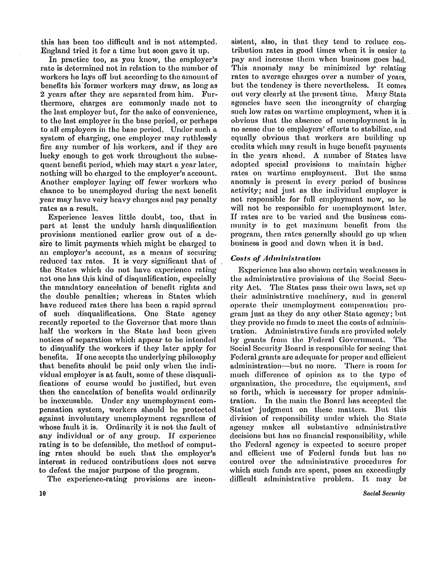this has been too difficult and is not attempted. England tried it for a time but soon gave it up.

In practice too, as you know, the employer's rate is determined not in relation to the number of workers he lays off but according to the amount of benefits his former workers may draw, as long as 2 years after they are separated from him. Furthermore, charges are commonly made not to the last employer but, for the sake of convenience, to the last employer in the base period, or perhaps to all employers in the base period. Under such a system of charging, one employer may ruthlessly fire any number of his workers, and if they are lucky enough to get work throughout the subsequent benefit period, which may start a year later, nothing will be charged to the employer's account. Another employer laying off fewer workers who chance to be unemployed during the next benefit year may have very heavy charges and pay penalty rates as a result.

Experience leaves little doubt, too, that in part at least the unduly harsh disqualification provisions mentioned earlier grow out of a desire to limit payments which might be charged to an employer's account, as a means of securing reduced tax rates. It is very significant that of the States which do not have experience rating not one has this kind of disqualification, especially the mandatory cancelation of benefit rights and the double penalties; whereas in States which have reduced rates there has been a rapid spread of such disqualifications. One State agency recently reported to the Governor that more than half the workers in the State had been given notices of separation which appear to be intended to disqualify the workers if they later apply for benefits. If one accepts the underlying philosophy that benefits should be paid only when the individual employer is at fault, some of these disqualifications of course would be justified, but even then the cancelation of benefits would ordinarily be inexcusable. Under any unemployment compensation system, workers should be protected against involuntary unemployment regardless of whose fault it is. Ordinarily it is not the fault of any individual or of any group. If experience rating is to be defensible, the method of computing rates should be such that the employer's interest in reduced contributions does not serve to defeat the major purpose of the program.

The experience-rating provisions are incon-

sistent, also, in that they tend to reduce contribution rates in good times when it is easier to pay and increase them when business goes bad. This anomaly may be minimized by relating rates to average charges over a number of years, but the tendency is there nevertheless. It comes out very clearly at the present time. Many State agencies have seen the incongruity of charging such low rates on wartime employment, when it is obvious that the absence of unemployment is in no sense due to employers' efforts to stabilize, and equally obvious that workers are building up credits which may result in huge benefit payments in the years ahead. A number of States have adopted special provisions to maintain higher rates on wartime employment. But the same anomaly is present in every period of business activity; and just as the individual employer is not responsible for full employment now, so he will not be responsible for unemployment later. If rates are to be varied and the business community is to get maximum benefit from the program, then rates generally should go up when business is good and down when it is bad.

# *Costs of Administration*

Experience has also shown certain weaknesses in the administrative provisions of the Social Security Act. The States pass their own laws, set up their administrative machinery, and in general operate their unemployment compensation program just as they do any other State agency; but they provide no funds to meet the costs of administration. Administrative funds are provided solely by grants from the Federal Government. The Social Security Board is responsible for seeing that Federal grants are adequate for proper and efficient administration—but no more. There is room for much difference of opinion as to the type of organization, the procedure, the equipment, and so forth, which is necessary for proper administration. In the main the Board has accepted the States' judgment on these matters. But this division of responsibility under which the State agency makes all substantive administrative decisions but has no financial responsibility, while the Federal agency is expected to secure proper and efficient use of Federal funds but has no control over the administrative procedures for which such funds are spent, poses an exceedingly difficult administrative problem. It may be